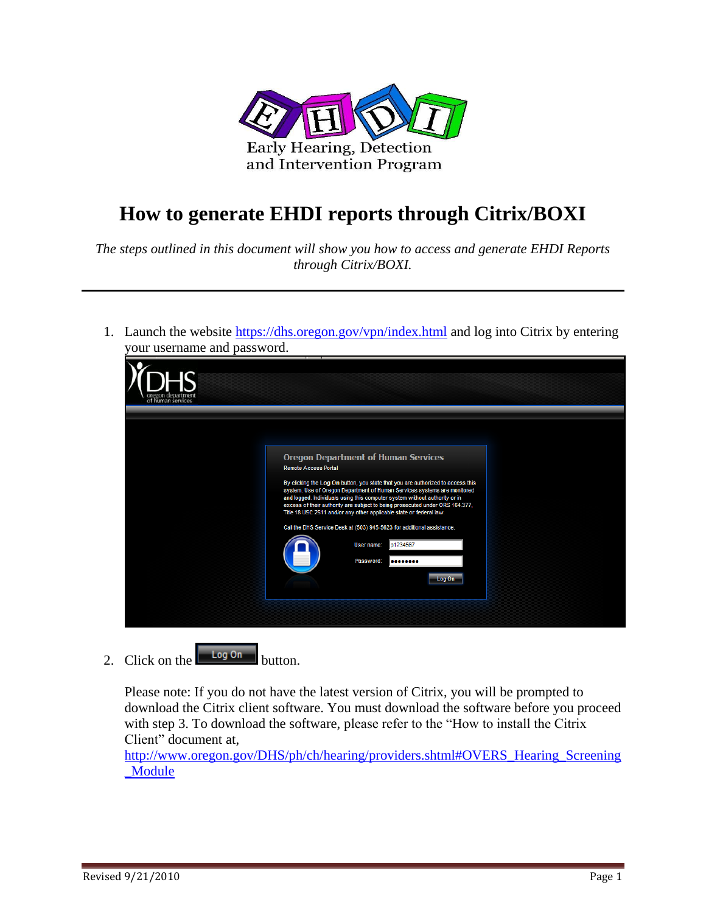

## **How to generate EHDI reports through Citrix/BOXI**

*The steps outlined in this document will show you how to access and generate EHDI Reports through Citrix/BOXI.*

1. Launch the website<https://dhs.oregon.gov/vpn/index.html> and log into Citrix by entering your username and password.



2. Click on the  $\begin{array}{|c|c|} \hline \text{Log On} & \text{button.} \end{array}$ 

Please note: If you do not have the latest version of Citrix, you will be prompted to download the Citrix client software. You must download the software before you proceed with step 3. To download the software, please refer to the "How to install the Citrix Client" document at,

[http://www.oregon.gov/DHS/ph/ch/hearing/providers.shtml#OVERS\\_Hearing\\_Screening](http://www.oregon.gov/DHS/ph/ch/hearing/providers.shtml#OVERS_Hearing_Screening_Module) [\\_Module](http://www.oregon.gov/DHS/ph/ch/hearing/providers.shtml#OVERS_Hearing_Screening_Module)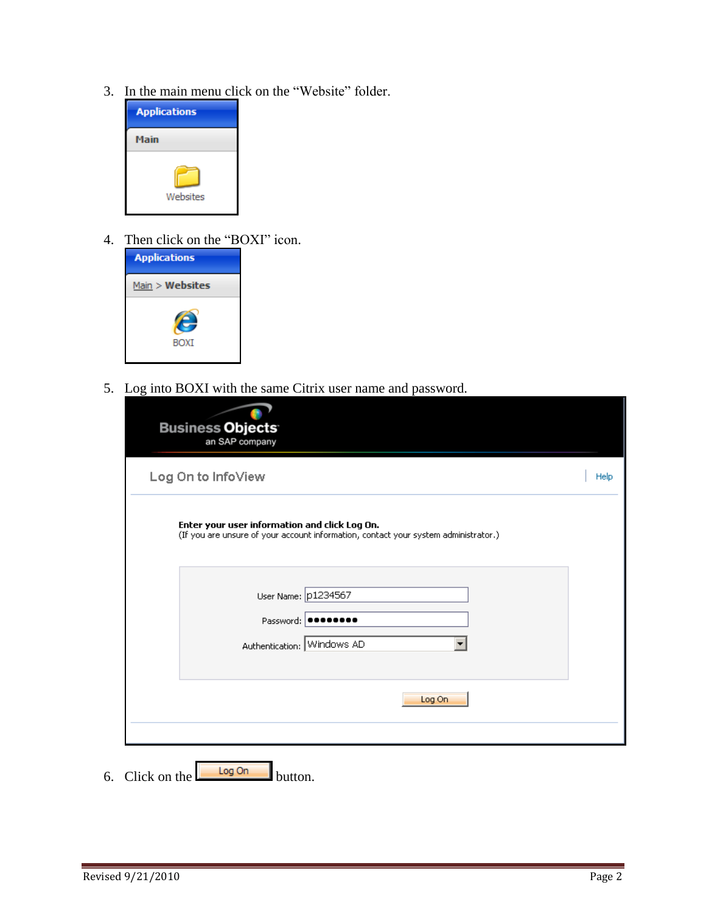3. In the main menu click on the "Website" folder.



4. Then click on the "BOXI" icon.



5. Log into BOXI with the same Citrix user name and password.

| <b>Business Objects</b><br>an SAP company                                                                                            |      |
|--------------------------------------------------------------------------------------------------------------------------------------|------|
| Log On to InfoView                                                                                                                   | Help |
| Enter your user information and click Log On.<br>(If you are unsure of your account information, contact your system administrator.) |      |
| User Name: p1234567<br>Password: <b></b><br>Authentication: Windows AD                                                               |      |
| Log On                                                                                                                               |      |

6. Click on the button.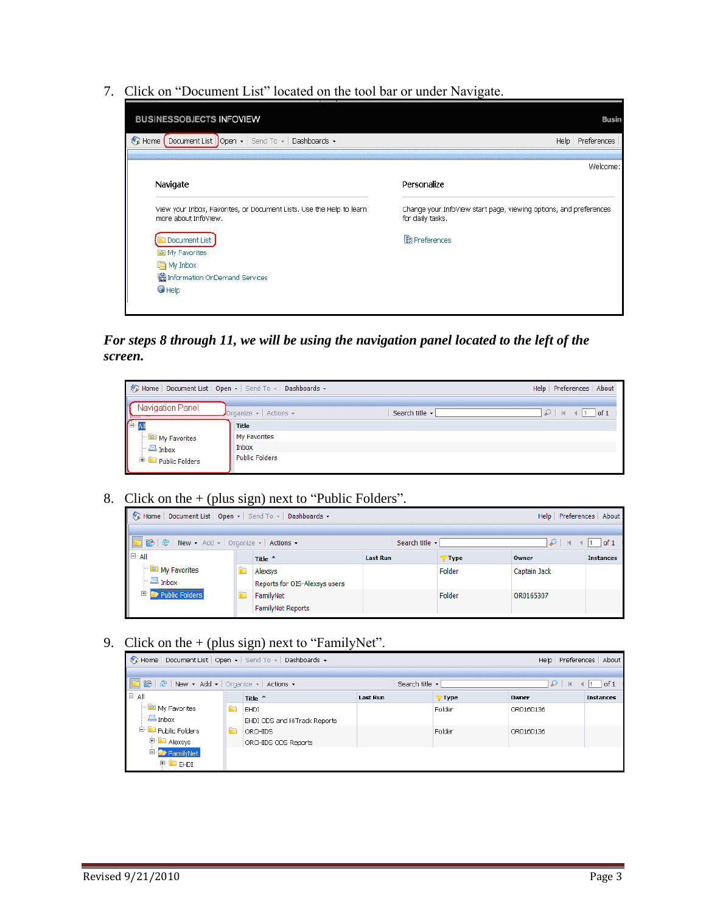7. Click on "Document List" located on the tool bar or under Navigate.

| Welcome:<br>Personalize                                                               |
|---------------------------------------------------------------------------------------|
| Change your InfoView start page, viewing options, and preferences<br>for daily tasks. |
| <sup>2</sup> Preferences                                                              |
|                                                                                       |
|                                                                                       |

*For steps 8 through 11, we will be using the navigation panel located to the left of the screen.*

|                      | Example 1 Document List   Open +   Send To +   Dashboards + |                | Help Preferences About        |
|----------------------|-------------------------------------------------------------|----------------|-------------------------------|
| Navigation Panel     | Organize $\star$ Actions $\star$                            | Search title + | of 1<br>$  $ $  $<br>$\omega$ |
| <b>EA</b>            | Title                                                       |                |                               |
| My Favorites         | My Favorites                                                |                |                               |
| $\blacksquare$ Inbox | Inbox                                                       |                |                               |
| Public Folders<br>田  | <b>Public Folders</b>                                       |                |                               |

8. Click on the  $+$  (plus sign) next to "Public Folders".

| Send To →   Dashboards →                        | Help Preferences About |                               |                 |        |              |                  |  |  |
|-------------------------------------------------|------------------------|-------------------------------|-----------------|--------|--------------|------------------|--|--|
|                                                 |                        |                               |                 |        |              |                  |  |  |
| DE B   &   New - Add -   Organize -   Actions - |                        |                               | Search title -  |        | ₽<br>$-14$   | $1$ of 1         |  |  |
| <b>E</b> All                                    |                        | Title <sup>4</sup>            | <b>Last Run</b> | 7 Type | Owner        | <b>Instances</b> |  |  |
| My Favorites                                    |                        | Alexsys                       |                 | Folder | Captain Jack |                  |  |  |
| $\blacksquare$ Inbox                            |                        | Reports for OIS-Alexsys users |                 |        |              |                  |  |  |
| Public Folders                                  |                        | FamilyNet                     |                 | Folder | OR0165307    |                  |  |  |
|                                                 |                        | FamilyNet Reports             |                 |        |              |                  |  |  |

9. Click on the  $+$  (plus sign) next to "FamilyNet".

| Home   Document List   Open -   Send To -   Dashboards -<br>Help Preferences About |   |                              |                      |        |                        |                  |
|------------------------------------------------------------------------------------|---|------------------------------|----------------------|--------|------------------------|------------------|
|                                                                                    |   |                              |                      |        |                        |                  |
| B & New + Add +   Organize +   Actions +                                           |   |                              | Search title $\star$ |        | $\mathcal{L}$<br>$-14$ | of 1             |
| È≞ All                                                                             |   | Title $-$                    | <b>Last Run</b>      | 7 Type | <b>Owner</b>           | <b>Instances</b> |
| $\blacksquare$ My Favorites                                                        | m | EHDI                         |                      | Folder | OR0160136              |                  |
| $ \blacksquare$ Inbox                                                              |   | EHDI ODS and HiTrack Reports |                      |        |                        |                  |
| <sup>E</sup> Public Folders                                                        | F | ORCHIDS                      |                      | Folder | OR0160136              |                  |
| <sup>in</sup> Alexsys                                                              |   | ORCHIDS ODS Reports          |                      |        |                        |                  |
| 白 <mark>テ</mark> FamilyNet                                                         |   |                              |                      |        |                        |                  |
| <sup>E</sup> EHDI                                                                  |   |                              |                      |        |                        |                  |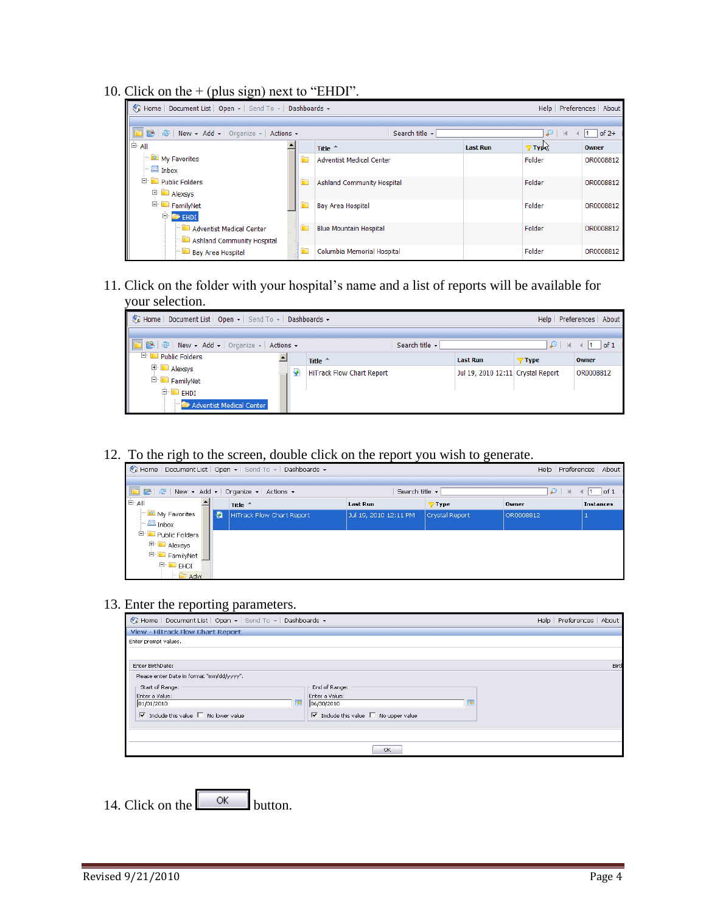10. Click on the  $+$  (plus sign) next to "EHDI".

| $-100 - 100 - 100$                                                                                                                                                                                                             |   |                                 |                 |                        |           |
|--------------------------------------------------------------------------------------------------------------------------------------------------------------------------------------------------------------------------------|---|---------------------------------|-----------------|------------------------|-----------|
| Reflection of the Muslim of the Muslim of the Muslim of the Muslim of the Muslim of the Muslim of the Muslim of the Muslim of the Muslim of the Muslim of the Muslim of the Muslim of the Muslim of the Muslim of the Muslim o |   |                                 |                 | Help Preferences About |           |
|                                                                                                                                                                                                                                |   |                                 |                 |                        |           |
| 2   운   New - Add -   Organize -   Actions -                                                                                                                                                                                   |   | Search title -                  |                 | D                      | $of 2+$   |
| I <sup>⇒</sup> All                                                                                                                                                                                                             |   | Title $-$                       | <b>Last Run</b> | <b>Types</b>           | Owner     |
| My Favorites<br>$\mathbf{B}$ Inbox                                                                                                                                                                                             |   | <b>Adventist Medical Center</b> |                 | Folder                 | OR0008812 |
| <b>E</b> Public Folders<br><b>E</b> Alexsys                                                                                                                                                                                    |   | Ashland Community Hospital      |                 | Folder                 | OR0008812 |
| <sup>in</sup> FamilyNet<br>$\Box$ $\blacksquare$ EHDI                                                                                                                                                                          |   | <b>Bay Area Hospital</b>        |                 | Folder                 | OR0008812 |
| Adventist Medical Center<br>Ashland Community Hospital                                                                                                                                                                         | È | <b>Blue Mountain Hospital</b>   |                 | Folder                 | OR0008812 |
| <b>Bay Area Hospital</b>                                                                                                                                                                                                       | È | Columbia Memorial Hospital      |                 | Folder                 | OR0008812 |

11. Click on the folder with your hospital's name and a list of reports will be available for your selection.

| Fig. Home   Document List   Open -   Send To -   Dashboards -<br>Help   Preferences   About   |  |  |                                  |                                   |          |           |  |
|-----------------------------------------------------------------------------------------------|--|--|----------------------------------|-----------------------------------|----------|-----------|--|
| B   2   New + Add +   Organize +   Actions +<br>Search title -<br>$ $ of 1<br>$\mathcal{P}$ N |  |  |                                  |                                   |          |           |  |
| <b>E L</b> Public Folders                                                                     |  |  | Title <sup>4</sup>               | <b>Last Run</b>                   | $7$ Type | Owner     |  |
| <sup>⊞</sup> Alexsys<br><sup>in</sup> FamilyNet                                               |  |  | <b>HiTrack Flow Chart Report</b> | Jul 19, 2010 12:11 Crystal Report |          | OR0008812 |  |
| $\oplus$ $\blacksquare$ EHDI<br>Adventist Medical Center                                      |  |  |                                  |                                   |          |           |  |

12. To the righ to the screen, double click on the report you wish to generate.

|                                                |    | $\sqrt[n]{\mu}$ Home   DocumentList   Open $\star$   Send To $\star$   Dashboards $\star$ |                       |                |           | Help   Preferences   About |
|------------------------------------------------|----|-------------------------------------------------------------------------------------------|-----------------------|----------------|-----------|----------------------------|
|                                                |    |                                                                                           |                       |                |           |                            |
| B &   &   New + Add +   Organize +   Actions + |    |                                                                                           | Search title •        |                | ₽         | $ $ of 1<br>$\mathbb{N}$   |
| È- All                                         |    | Title $\triangle$                                                                         | <b>Last Run</b>       | 7 Type         | Owner     | <b>Instances</b>           |
| $\blacksquare$ My Favorites                    | IФ | HiTrack Flow Chart Report                                                                 | Jul 19, 2010 12:11 PM | Crystal Report | OR0008812 |                            |
| $\vdash \mathbb{Z}$ Inbox                      |    |                                                                                           |                       |                |           |                            |
| Fig. D Public Folders                          |    |                                                                                           |                       |                |           |                            |
| <b>E</b> Alexsys                               |    |                                                                                           |                       |                |           |                            |
| □ FamilyNet 『                                  |    |                                                                                           |                       |                |           |                            |
| ≑ <mark>і н</mark> ы                           |    |                                                                                           |                       |                |           |                            |
| $\Box$ Adve                                    |    |                                                                                           |                       |                |           |                            |

## 13. Enter the reporting parameters.

| Home   Document List   Open +   Send To +   Dashboards +                | Help Preferences About                                                  |   |  |       |
|-------------------------------------------------------------------------|-------------------------------------------------------------------------|---|--|-------|
| View - HiTrack Flow Chart Report                                        |                                                                         |   |  |       |
| Enter prompt values.                                                    |                                                                         |   |  |       |
|                                                                         |                                                                         |   |  |       |
| Enter BirthDate:                                                        |                                                                         |   |  | Birth |
| Please enter Date in format "mm/dd/yyyy".                               |                                                                         |   |  |       |
| Start of Range:                                                         | End of Range:                                                           |   |  |       |
| Enter a Value:                                                          | Enter a Value:                                                          |   |  |       |
| ъ<br>01/01/2010                                                         | 06/30/2010                                                              | ø |  |       |
| $\overline{\nabla}$ Include this value $\overline{\Box}$ No lower value | $\overline{\nabla}$ Include this value $\overline{\Box}$ No upper value |   |  |       |
|                                                                         |                                                                         |   |  |       |
|                                                                         |                                                                         |   |  |       |
|                                                                         | OK.                                                                     |   |  |       |
|                                                                         |                                                                         |   |  |       |

14. Click on the  $\sim$  button.